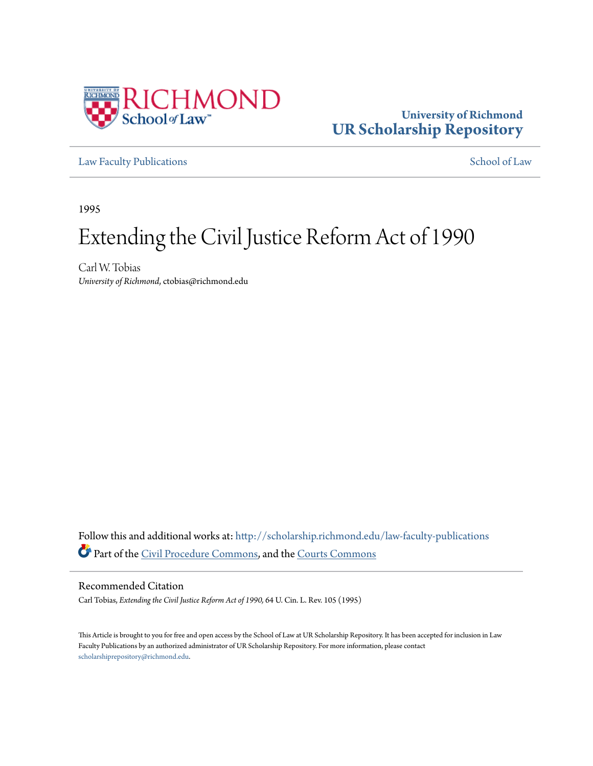

# **University of Richmond [UR Scholarship Repository](http://scholarship.richmond.edu?utm_source=scholarship.richmond.edu%2Flaw-faculty-publications%2F699&utm_medium=PDF&utm_campaign=PDFCoverPages)**

[Law Faculty Publications](http://scholarship.richmond.edu/law-faculty-publications?utm_source=scholarship.richmond.edu%2Flaw-faculty-publications%2F699&utm_medium=PDF&utm_campaign=PDFCoverPages) [School of Law](http://scholarship.richmond.edu/law?utm_source=scholarship.richmond.edu%2Flaw-faculty-publications%2F699&utm_medium=PDF&utm_campaign=PDFCoverPages)

1995

# Extending the Civil Justice Reform Act of 1990

Carl W. Tobias *University of Richmond*, ctobias@richmond.edu

Follow this and additional works at: [http://scholarship.richmond.edu/law-faculty-publications](http://scholarship.richmond.edu/law-faculty-publications?utm_source=scholarship.richmond.edu%2Flaw-faculty-publications%2F699&utm_medium=PDF&utm_campaign=PDFCoverPages) Part of the [Civil Procedure Commons](http://network.bepress.com/hgg/discipline/584?utm_source=scholarship.richmond.edu%2Flaw-faculty-publications%2F699&utm_medium=PDF&utm_campaign=PDFCoverPages), and the [Courts Commons](http://network.bepress.com/hgg/discipline/839?utm_source=scholarship.richmond.edu%2Flaw-faculty-publications%2F699&utm_medium=PDF&utm_campaign=PDFCoverPages)

# Recommended Citation

Carl Tobias, *Extending the Civil Justice Reform Act of 1990,* 64 U. Cin. L. Rev. 105 (1995)

This Article is brought to you for free and open access by the School of Law at UR Scholarship Repository. It has been accepted for inclusion in Law Faculty Publications by an authorized administrator of UR Scholarship Repository. For more information, please contact [scholarshiprepository@richmond.edu.](mailto:scholarshiprepository@richmond.edu)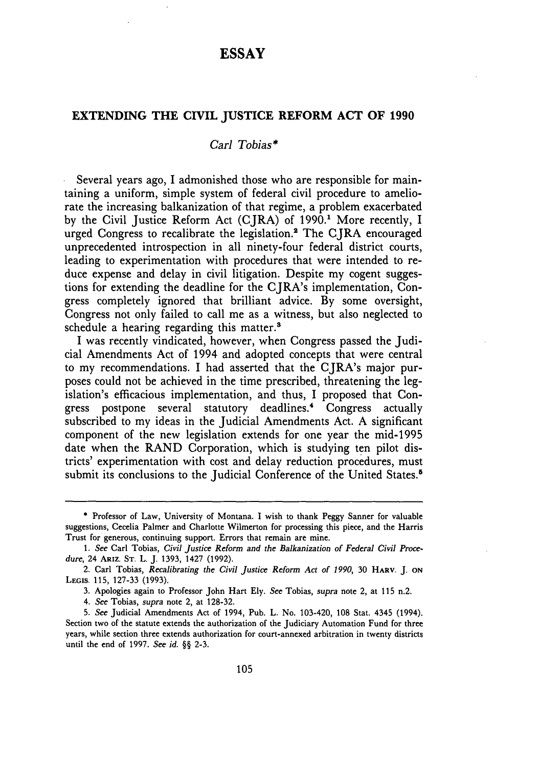# **ESSAY**

#### **EXTENDING THE CIVIL JUSTICE REFORM ACT OF 1990**

#### *Carl Tobias\**

Several years ago, I admonished those who are responsible for maintaining a uniform, simple system of federal civil procedure to ameliorate the increasing balkanization of that regime, a problem exacerbated by the Civil Justice Reform Act (CJRA) of 1990.<sup>1</sup> More recently, I urged Congress to recalibrate the legislation.<sup>2</sup> The CJRA encouraged unprecedented introspection in all ninety-four federal district courts, leading to experimentation with procedures that were intended to reduce expense and delay in civil litigation. Despite my cogent suggestions for extending the deadline for the CJRA's implementation, Congress completely ignored that brilliant advice. By some oversight, Congress not only failed to call me as a witness, but also neglected to schedule a hearing regarding this matter.<sup>8</sup>

I was recently vindicated, however, when Congress passed the Judicial Amendments Act of 1994 and adopted concepts that were central to my recommendations. I had asserted that the CJRA's major purposes could not be achieved in the time prescribed, threatening the legislation's efficacious implementation, and thus, I proposed that Congress postpone several statutory deadlines.• Congress actually subscribed to my ideas in the Judicial Amendments Act. A significant component of the new legislation extends for one year the mid-1995 date when the RAND Corporation, which is studying ten pilot districts' experimentation with cost and delay reduction procedures, must submit its conclusions to the Judicial Conference of the United States.<sup>5</sup>

3. Apologies again to Professor John Hart Ely. *See* Tobias, *supra* note 2, at 115 n.2.

<sup>\*</sup> Professor of Law, University of Montana. I wish to thank Peggy Sanner for valuable suggestions, Cecelia Palmer and Charlotte Wilmerton for processing this piece, and the Harris Trust for generous, continuing support. Errors that remain are mine.

<sup>1.</sup> *See* Carl Tobias, *Civil justice Reform and the Balkanization of Federal Civil Procedure,* 24 ARIZ. ST. L.]. 1393, 1427 (1992).

<sup>2.</sup> Carl Tobias, *Recalibrating the Civil Justice Reform Act of 1990,* 30 HARV. *].* ON LEGIS. 115, 127-33 (1993).

<sup>4.</sup> *See* Tobias, *supra* note 2, at 128-32.

<sup>5.</sup> *See* Judicial Amendments Act of 1994, Pub. L. No. 103-420, 108 Stat. 4345 (1994). Section two of the statute extends the authorization of the Judiciary Automation Fund for three years, while section three extends authorization for court-annexed arbitration in twenty districts until the end of 1997. *See id.* §§ 2-3.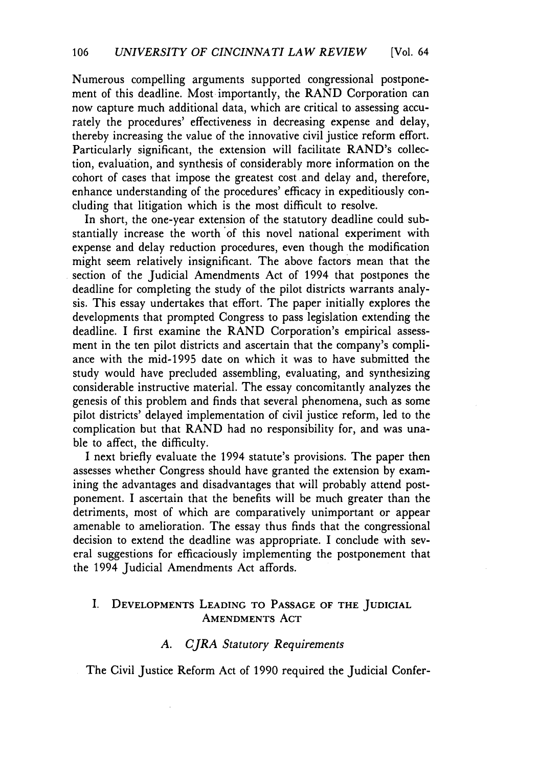Numerous compelling arguments supported congressional postponement of this deadline. Most importantly, the RAND Corporation can now capture much additional data, which are critical to assessing accurately the procedures' effectiveness in decreasing expense and delay, thereby increasing the value of the innovative civil justice reform effort. Particularly significant, the extension will facilitate RAND's collection, evaluation, and synthesis of considerably more information on the cohort of cases that impose the greatest cost . and delay and, therefore, enhance understanding of the procedures' efficacy in expeditiously concluding that litigation which is the most difficult to resolve.

In short, the one-year extension of the statutory deadline could substantially increase the worth of this novel national experiment with expense and delay reduction procedures, even though the modification might seem relatively insignificant. The above factors mean that the section of the Judicial Amendments Act of 1994 that postpones the deadline for completing the study of the pilot districts warrants analysis. This essay undertakes that effort. The paper initially explores the developments that prompted Congress to pass legislation extending the deadline. I first examine the RAND Corporation's empirical assessment in the ten pilot districts and ascertain that the company's compliance with the mid-1995 date on which it was to have submitted the study would have precluded assembling, evaluating, and synthesizing considerable instructive material. The essay concomitantly analyzes the genesis of this problem and finds that several phenomena, such as some pilot districts' delayed implementation of civil justice reform, led to the complication but that RAND had no responsibility for, and was unable to affect, the difficulty.

I next briefly evaluate the 1994 statute's provisions. The paper then assesses whether Congress should have granted the extension by examining the advantages and disadvantages that will probably attend postponement. I ascertain that the benefits will be much greater than the detriments, most of which are comparatively unimportant or appear amenable to amelioration. The essay thus finds that the congressional decision to extend the deadline was appropriate. I conclude with several suggestions for efficaciously implementing the postponement that the 1994 Judicial Amendments Act affords.

# l. DEVELOPMENTS LEADING TO PASSAGE OF THE JUDICIAL AMENDMENTS ACT

# *A. CJRA Statutory Requirements*

The Civil Justice Reform Act of 1990 required the Judicial Confer-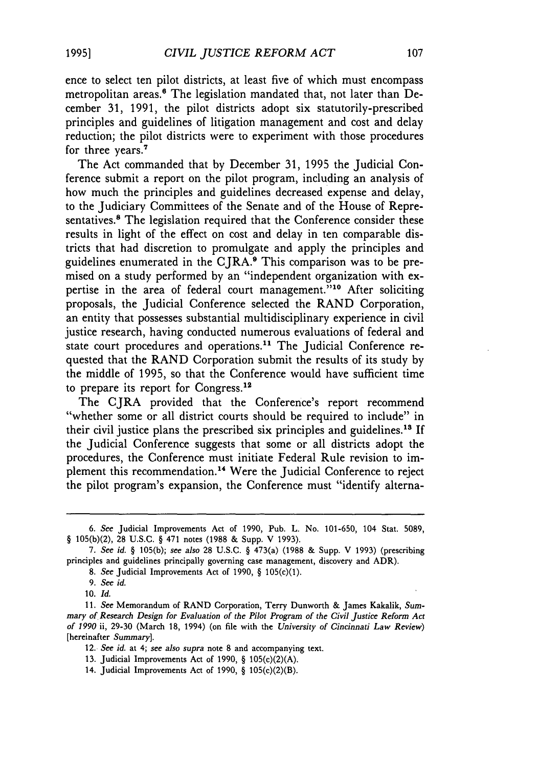ence to select ten pilot districts, at least five of which must encompass metropolitan areas.<sup>6</sup> The legislation mandated that, not later than December 31, 1991, the pilot districts adopt six statutorily-prescribed principles and guidelines of litigation management and cost and delay reduction; the pilot districts were to experiment with those procedures for three years.<sup>7</sup>

The Act commanded that by December 31, 1995 the Judicial Conference submit a report on the pilot program, including an analysis of how much the principles and guidelines decreased expense and delay, to the Judiciary Committees of the Senate and of the House of Representatives.<sup>8</sup> The legislation required that the Conference consider these results in light of the effect on cost and delay in ten comparable districts that had discretion to promulgate and apply the principles and guidelines enumerated in the CJRA.9 This comparison was to be premised on a study performed by an "independent organization with expertise in the area of federal court management."<sup>10</sup> After soliciting proposals, the Judicial Conference selected the RAND Corporation, an entity that possesses substantial multidisciplinary experience in civil justice research, having conducted numerous evaluations of federal and state court procedures and operations.<sup>11</sup> The Judicial Conference requested that the RAND Corporation submit the results of its study by the middle of 1995, so that the Conference would have sufficient time to prepare its report for Congress.<sup>12</sup>

The CJRA provided that the Conference's report recommend "whether some or all district courts should be required to include" in their civil justice plans the prescribed six principles and guidelines.<sup>18</sup> If the Judicial Conference suggests that some or all districts adopt the procedures, the Conference must initiate Federal Rule revision to implement this recommendation. 14 Were the Judicial Conference to reject the pilot program's expansion, the Conference must "identify alterna-

- 12. See *id.* at 4; see *also supra* note 8 and accompanying text.
- 13. Judicial Improvements Act of 1990, § 105(c)(2)(A).
- 14. Judicial Improvements Act of 1990, § 105(c)(2)(B).

<sup>6.</sup> See Judicial Improvements Act of 1990, Pub. L. No. 101-650, 104 Stat. 5089, § 105(b)(2), 28 U.S.C. § 471 notes (1988 & Supp. V 1993).

<sup>7.</sup> See *id.* § 105(b); see *also* 28 U.S.C. § 473(a) (1988 & Supp. V 1993) (prescribing principles and guidelines principally governing case management, discovery and ADR).

<sup>8.</sup> See Judicial Improvements Act of 1990, § 105(c)(1).

<sup>9.</sup> See *id.* 

<sup>10.</sup> *Id.* 

<sup>11.</sup> See Memorandum of RAND Corporation, Terry Dunworth & James Kakalik, *Summary of Research* Design *for Evaluation of the Pilot Program of the Civil Justice Reform Act of 1990* ii, 29-30 (March 18, 1994) (on file with the *University of Cincinnati Law Review)*  [hereinafter *Summary].*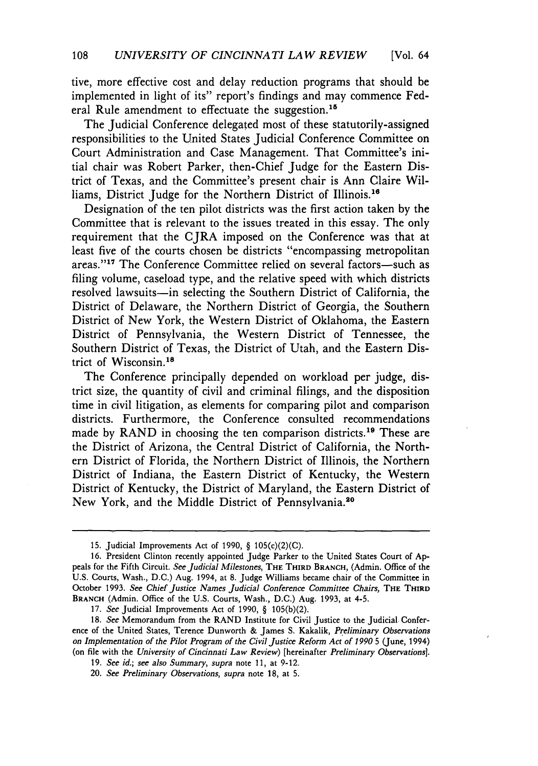tive, more effective cost and delay reduction programs that should be implemented in light of its" report's findings and may commence Federal Rule amendment to effectuate the suggestion.<sup>15</sup>

The Judicial Conference delegated most of these statutorily-assigned responsibilities to the United States Judicial Conference Committee on Court Administration and Case Management. That Committee's initial chair was Robert Parker, then-Chief Judge for the Eastern District of Texas, and the Committee's present chair is Ann Claire Williams, District Judge for the Northern District of Illinois.<sup>16</sup>

Designation of the ten pilot districts was the first action taken by the Committee that is relevant to the issues treated in this essay. The only requirement that the CJRA imposed on the Conference was that at least five of the courts chosen be districts "encompassing metropolitan areas."<sup>17</sup> The Conference Committee relied on several factors-such as filing volume, caseload type, and the relative speed with which districts resolved lawsuits-in selecting the Southern District of California, the District of Delaware, the Northern District of Georgia, the Southern District of New York, the Western District of Oklahoma, the Eastern District of Pennsylvania, the Western District of Tennessee, the Southern District of Texas, the District of Utah, and the Eastern District of Wisconsin. 18

The Conference principally depended on workload per judge, district size, the quantity of civil and criminal filings, and the disposition time in civil litigation, as elements for comparing pilot and comparison districts. Furthermore, the Conference consulted recommendations made by RAND in choosing the ten comparison districts.<sup>19</sup> These are the District of Arizona, the Central District of California, the Northern District of Florida, the Northern District of Illinois, the Northern District of Indiana, the Eastern District of Kentucky, the Western District of Kentucky, the District of Maryland, the Eastern District of New York, and the Middle District of Pennsylvania.20

<sup>15.</sup> Judicial Improvements Act of 1990, § 105(c)(2)(C).

<sup>16.</sup> President Clinton recently appointed Judge Parker to the United States Court of Appeals for the Fifth Circuit. See *Judicial Milestones,* THE THIRD BRANCH, (Admin. Office of the U.S. Courts, Wash., D.C.) Aug. 1994, at 8. Judge Williams became chair of the Committee in October 1993. See *Chief Justice Names Judicial Conference Committee Chairs,* THE THIRD BRANCH (Admin. Office of the U.S. Courts, Wash., D.C.) Aug. 1993, at 4-5.

<sup>17.</sup> See Judicial Improvements Act of 1990, § 105(b)(2).

<sup>18.</sup> See Memorandum from the RAND Institute for Civil Justice to the Judicial Conference of the United States, Terence Dunworth & James S. Kakalik, *Preliminary Observations on Implementation of the Pilot Program of the Civil Justice Reform Act of 1990 5 (June, 1994)* (on file with the *University of Cincinnati Law Review)* [hereinafter *Preliminary Observations).* 

<sup>19.</sup> See *id.;* see *also Summary, supra* note 11, at 9-12.

<sup>20.</sup> See *Preliminary Observations, supra* note 18, at 5.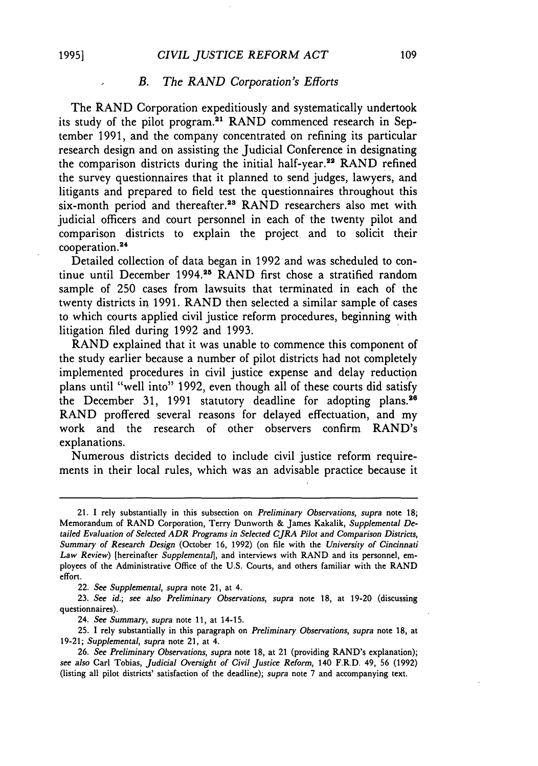#### *B. The RAND Corporation's Efforts*

The RAND Corporation expeditiously and systematically undertook its study of the pilot program.<sup>21</sup> RAND commenced research in September 1991, and the company concentrated on refining its particular research design and on assisting the Judicial Conference in designating the comparison districts during the initial half-year.<sup>22</sup> RAND refined the survey questionnaires that it planned to send judges, lawyers, and litigants and prepared to field test the questionnaires throughout this six-month period and thereafter.<sup>23</sup> RAND researchers also met with judicial officers and court personnel in each of the twenty pilot and comparison districts to explain the project and to solicit their cooperation. 24

Detailed collection of data began in 1992 and was scheduled to continue until December 1994.<sup>25</sup> RAND first chose a stratified random sample of 250 cases from lawsuits that terminated in each of the twenty districts in 1991. RAND then selected a similar sample of cases to which courts applied civil justice reform procedures, beginning with litigation filed during 1992 and 1993.

RAND explained that it was unable to commence this component of the study earlier because a number of pilot districts had not completely implemented procedures in civil justice expense and delay reduction plans until "well into" 1992, even though all of these courts did satisfy the December 31, 1991 statutory deadline for adopting plans.<sup>26</sup> RAND proffered several reasons for delayed effectuation, and my work and the research of other observers confirm RAND's explanations.

Numerous districts decided to include civil justice reform requirements in their local rules, which was an advisable practice because it

22. See *Supplemental, supra* note 21, at 4.

23. See *id.;* see *also Preliminary Observations, supra* note 18, at 19-20 (discussing questionnaires).

24. See *Summary, supra* note 11, at 14-15.

25. I rely substantially in this paragraph on *Preliminary Observations, supra* note 18, at 19-21; *Supplemental, supra* note 21, at 4.

<sup>21.</sup> I rely substantially in this subsection on *Preliminary Observations, supra* note 18; Memorandum of RAND Corporation, Terry Dunworth & James Kakalik, *Supplemental* De*tailed Evaluation of Selected ADR Programs in Selected CJRA Pilot and Comparison Districts, Summary of Research Design* (October 16, 1992) (on file with the *University of Cincinnati Law Review)* [hereinafter *Supplemental],* and interviews with RAND and its personnel, employees of the Administrative Office of the U.S. Courts, and others familiar with the RAND effort.

<sup>26.</sup> See *Preliminary Observations, supra* note 18, at 21 (providing RAND's explanation); see *also* Carl Tobias, *judicial Oversight of Civil Justice Reform,* 140 F.R.D. 49, 56 (1992) (listing all pilot districts' satisfaction of the deadline); *supra* note 7 and accompanying text.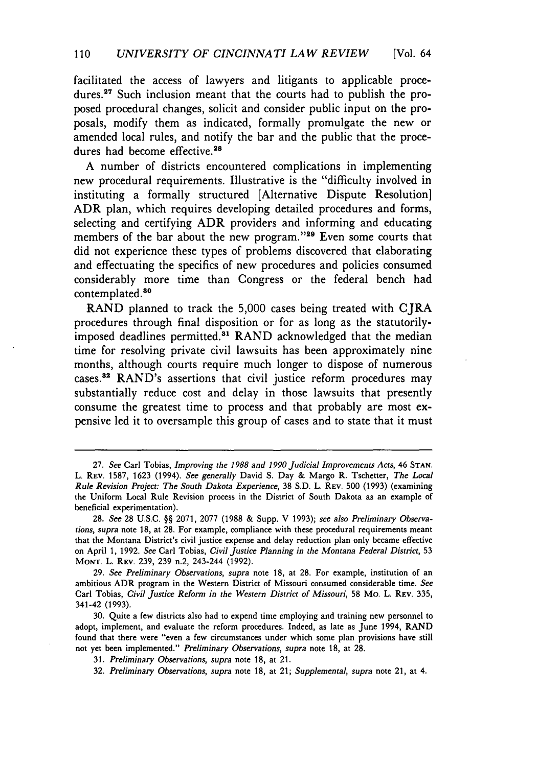facilitated the access of lawyers and litigants to applicable procedures.<sup>27</sup> Such inclusion meant that the courts had to publish the proposed procedural changes, solicit and consider public input on the proposals, modify them as indicated, formally promulgate the new or amended local rules, and notify the bar and the public that the procedures had become effective.<sup>28</sup>

A number of districts encountered complications in implementing new procedural requirements. Illustrative is the "difficulty involved in instituting a formally structured [Alternative Dispute Resolution] ADR plan, which requires developing detailed procedures and forms, selecting and certifying ADR providers and informing and educating members of the bar about the new program."<sup>29</sup> Even some courts that did not experience these types of problems discovered that elaborating and effectuating the specifics of new procedures and policies consumed considerably more time than Congress or the federal bench had contemplated.<sup>30</sup>

RAND planned to track the 5,000 cases being treated with CJRA procedures through final disposition or for as long as the statutorilyimposed deadlines permitted.<sup>31</sup> RAND acknowledged that the median time for resolving private civil lawsuits has been approximately nine months, although courts require much longer to dispose of numerous cases.<sup>32</sup> RAND's assertions that civil justice reform procedures may substantially reduce cost and delay in those lawsuits that presently consume the greatest time to process and that probably are most expensive led it to oversample this group of cases and to state that it must

<sup>27.</sup> See Carl Tobias, *Improving the 1988 and 1990 Judicial Improvements Acts,* 46 STAN. L. REV. 1587, 1623 (1994). See *generally* David S. Day & Margo R. Tschetter, *The Local Rule Revision Project: The South Dakota Experience,* 38 S.D. L. REV. 500 (1993) (examining the Uniform Local Rule Revision process in the District of South Dakota as an example of beneficial experimentation).

<sup>28.</sup> See 28 U.S.C. §§ 2071, 2077 (1988 & Supp. V 1993); see *also Preliminary Observations, supra* note 18, at 28. For example, compliance with these procedural requirements meant that the Montana District's civil justice expense and delay reduction plan only became effective on April 1, 1992. See Carl Tobias, *Civil Justice Planning in the Montana Federal District,* 53 MONT. L. REV. 239, 239 n.2, 243-244 (1992).

<sup>29.</sup> See *Preliminary Observations, supra* note 18, at 28. For example, institution of an ambitious ADR program in the Western District of Missouri consumed considerable time. *See*  Carl Tobias, *Civil Justice Reform in the Western District of Missouri,* 58 Mo. L. REV. 335, 341-42 (1993).

<sup>30.</sup> Quite a few districts also had to expend time employing and training new personnel to adopt, implement, and evaluate the reform procedures. Indeed, as late as June 1994, RAND found that there were "even a few circumstances under which some plan provisions have still not yet been implemented." *Preliminary Observations, supra* note 18, at 28.

<sup>31.</sup> *Preliminary Observations, supra* note 18, at 21.

<sup>32.</sup> *Preliminary Observations, supra* note 18, at 21; *Supplemental, supra* note 21, at 4.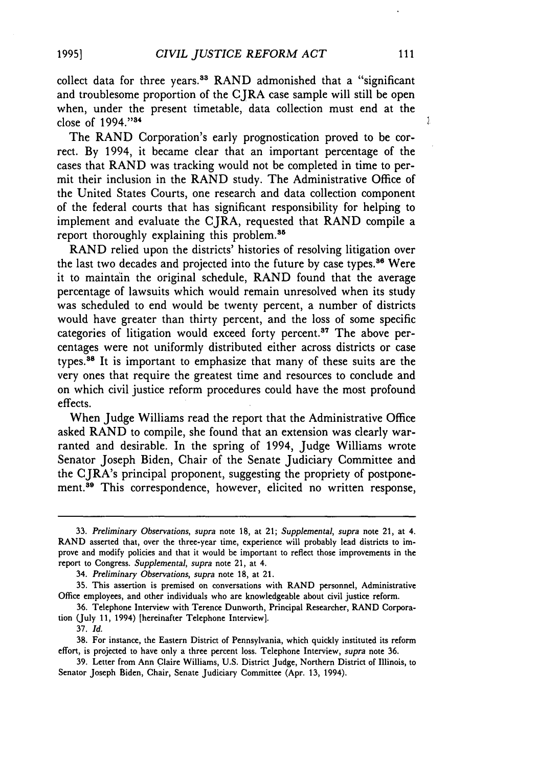The RAND Corporation's early prognostication proved to be correct. By 1994, it became clear that an important percentage of the cases that RAND was tracking would not be completed in time to permit their inclusion in the RAND study. The Administrative Office of the United States Courts, one research and data collection component of the federal courts that has significant responsibility for helping to implement and evaluate the CJRA, requested that RAND compile a report thoroughly explaining this problem.<sup>35</sup>

RAND relied upon the districts' histories of resolving litigation over the last two decades and projected into the future by case types.<sup>36</sup> Were it to mainta'in the original schedule, RAND found that the average percentage of lawsuits which would remain unresolved when its study was scheduled to end would be twenty percent, a number of districts would have greater than thirty percent, and the loss of some specific categories of litigation would exceed forty percent.<sup>37</sup> The above percentages were not uniformly distributed either across districts or case types. 38 It is important to emphasize that many of these suits are the very ones that require the greatest time and resources to conclude and on which civil justice reform procedures could have the most profound effects.

When Judge Williams read the report that the Administrative Office asked RAND to compile, she found that an extension was clearly warranted and desirable. In the spring of 1994, Judge Williams wrote Senator Joseph Biden, Chair of the Senate Judiciary Committee and the CJRA's principal proponent, suggesting the propriety of postponement.<sup>39</sup> This correspondence, however, elicited no written response,  $\bar{\Sigma}$ 

<sup>33.</sup> *Preliminary Observations, supra* note 18, at 21; *Supplemental, supra* note 21, at 4. RAND asserted that, over the three-year time, experience will probably lead districts to improve and modify policies and that it would be important to reflect those improvements in the report to Congress. *Supplemental, supra* note 21, at 4.

<sup>34.</sup> *Preliminary Observations, supra* note 18, at 21.

<sup>35.</sup> This assertion is premised on conversations with RAND personnel, Administrative Office employees, and other individuals who are knowledgeable about civil justice reform.

<sup>36.</sup> Telephone Interview with Terence Dunworth, Principal Researcher, RAND Corporation (July 11, 1994) [hereinafter Telephone Interview].

<sup>37.</sup> *Id.* 

<sup>38.</sup> For instance, the Eastern District of Pennsylvania, which quickly instituted its reform effort, is projected to have only a three percent loss. Telephone Interview, *supra* note 36.

<sup>39.</sup> Letter from Ann Claire Williams, U.S. District Judge, Northern District of Illinois, to Senator Joseph Biden, Chair, Senate Judiciary Committee (Apr. 13, 1994).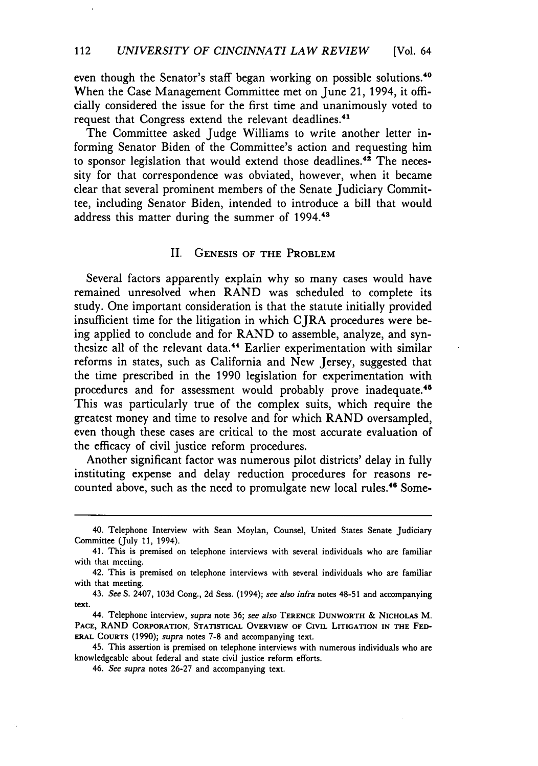even though the Senator's staff began working on possible solutions.<sup>40</sup> When the Case Management Committee met on June 21, 1994, it officially considered the issue for the first time and unanimously voted to request that Congress extend the relevant deadlines.<sup>41</sup>

The Committee asked Judge Williams to write another letter informing Senator Biden of the Committee's action and requesting him to sponsor legislation that would extend those deadlines.<sup>42</sup> The necessity for that correspondence was obviated, however, when it became clear that several prominent members of the Senate Judiciary Committee, including Senator Biden, intended to introduce a bill that would address this matter during the summer of 1994.<sup>48</sup>

#### II. GENESIS OF THE PROBLEM

Several factors apparently explain why so many cases would have remained unresolved when RAND was scheduled to complete its study. One important consideration is that the statute initially provided insufficient time for the litigation in which CJRA procedures were being applied to conclude and for RAND to assemble, analyze, and synthesize all of the relevant data.<sup>44</sup> Earlier experimentation with similar reforms in states, such as California and New Jersey, suggested that the time prescribed in the 1990 legislation for experimentation with procedures and for assessment would probably prove inadequate.<sup>45</sup> This was particularly true of the complex suits, which require the greatest money and time to resolve and for which RAND oversampled, even though these cases are critical to the most accurate evaluation of the efficacy of civil justice reform procedures.

Another significant factor was numerous pilot districts' delay in fully instituting expense and delay reduction procedures for reasons recounted above, such as the need to promulgate new local rules.<sup>46</sup> Some-

<sup>40.</sup> Telephone Interview with Sean Moylan, Counsel, United States Senate Judiciary Committee (July 11, 1994).

<sup>41.</sup> This is premised on telephone interviews with several individuals who are familiar with that meeting.

<sup>42.</sup> This is premised on telephone interviews with several individuals who are familiar with that meeting.

<sup>43.</sup> *See* S. 2407, 103d Cong., 2d Sess. (1994); *see also infra* notes 48-51 and accompanying text.

<sup>44.</sup> Telephone interview, *supra* note 36; *see also* TERENCE DUNWORTH & NICHOLAS M. PACE, RAND CORPORATION, STATISTICAL OVERVIEW OF CIVIL LITIGATION IN THE FED-ERAL COURTS (1990); *supra* notes 7-8 and accompanying text.

<sup>45.</sup> This assertion is premised on telephone interviews with numerous individuals who are knowledgeable about federal and state civil justice reform efforts.

<sup>46.</sup> *See supra* notes 26-27 and accompanying text.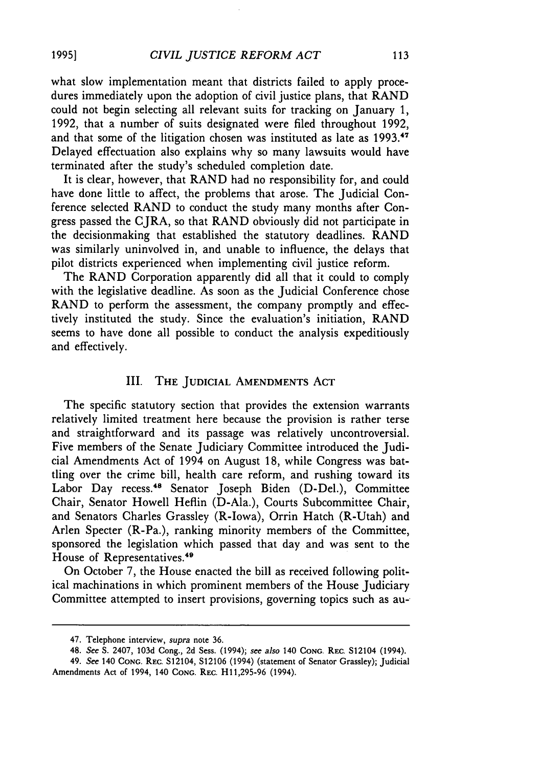what slow implementation meant that districts failed to apply procedures immediately upon the adoption of civil justice plans, that RAND could not begin selecting all relevant suits for tracking on January 1, 1992, that a number of suits designated were filed throughout 1992, and that some of the litigation chosen was instituted as late as 1993.<sup>47</sup> Delayed effectuation also explains why so many lawsuits would have terminated after the study's scheduled completion date.

It is clear, however, that RAND had no responsibility for, and could have done little to affect, the problems that arose. The Judicial Conference selected RAND to conduct the study many months after Congress passed the CJRA, so that RAND obviously did not participate in the decisionmaking that established the statutory deadlines. RAND was similarly uninvolved in, and unable to influence, the delays that pilot districts experienced when implementing civil justice reform.

The RAND Corporation apparently did all that it could to comply with the legislative deadline. As soon as the Judicial Conference chose RAND to perform the assessment, the company promptly and effectively instituted the study. Since the evaluation's initiation, RAND seems to have done all possible to conduct the analysis expeditiously and effectively.

# Ill. THE JUDICIAL AMENDMENTS ACT

The specific statutory section that provides the extension warrants relatively limited treatment here because the provision is rather terse and straightforward and its passage was relatively uncontroversial. Five members of the Senate Judiciary Committee introduced the Judicial Amendments Act of 1994 on August 18, while Congress was battling over the crime bill, health care reform, and rushing toward its Labor Day recess.<sup>48</sup> Senator Joseph Biden (D-Del.), Committee Chair, Senator Howell Heflin (D-Ala.), Courts Subcommittee Chair, and Senators Charles Grassley (R-lowa), Orrin Hatch (R-Utah) and Arlen Specter (R-Pa.), ranking minority members of the Committee, sponsored the legislation which passed that day and was sent to the House of Representatives.<sup>49</sup>

On October 7, the House enacted the bill as received following political machinations in which prominent members of the House Judiciary Committee attempted to insert provisions, governing topics such as au-

<sup>47.</sup> Telephone interview, *supra* note 36.

<sup>48.</sup> *See* S. 2407, 103d Cong., 2d Sess. (1994); *see also* 140 CONG. REC. S12104 (1994).

<sup>49.</sup> *See* 140 CoNG. REC. S12104, S12106 (1994) (statement of Senator Grassley); Judicial Amendments Act of 1994, 140 CONG. REC. H11,295-96 (1994).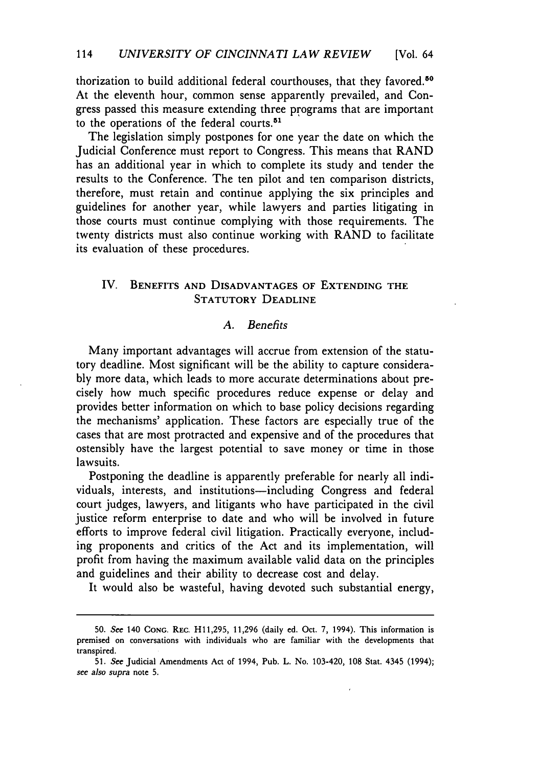thorization to build additional federal courthouses, that they favored.<sup>50</sup> At the eleventh hour, common sense apparently prevailed, and Congress passed this measure extending three programs that are important to the operations of the federal courts.<sup>51</sup>

The legislation simply postpones for one year the date on which the Judicial Conference must report to Congress. This means that RAND has an additional year in which to complete its study and tender the results to the Conference. The ten pilot and ten comparison districts, therefore, must retain and continue applying the six principles and guidelines for another year, while lawyers and parties litigating in those courts must continue complying with those requirements. The twenty districts must also continue working with RAND to facilitate its evaluation of these procedures.

# IV. BENEFITS AND DISADVANTAGES OF EXTENDING THE STATUTORY DEADLINE

# A *Benefits*

Many important advantages will accrue from extension of the statutory deadline. Most significant will be the ability to capture considerably more data, which leads to more accurate determinations about precisely how much specific procedures reduce expense or delay and provides better information on which to base policy decisions regarding the mechanisms' application. These factors are especially true of the cases that are most protracted and expensive and of the procedures that ostensibly have the largest potential to save money or time in those lawsuits.

Postponing the deadline is apparently preferable for nearly all individuals, interests, and institutions-including Congress and federal court judges, lawyers, and litigants who have participated in the civil justice reform enterprise to date and who will be involved in future efforts to improve federal civil litigation. Practically everyone, including proponents and critics of the Act and its implementation, will profit from having the maximum available valid data on the principles and guidelines and their ability to decrease cost and delay.

It would also be wasteful, having devoted such substantial energy,

<sup>50.</sup> *See* 140 CoNG. REC. Hll,295, 11,296 (daily ed. Oct. 7, 1994). This information is premised on conversations with individuals who are familiar with the developments that transpired.

<sup>51.</sup> *See* Judicial Amendments Act of 1994, Pub. L. No. 103-420, 108 Stat. 4345 (1994); *see also supra* note 5.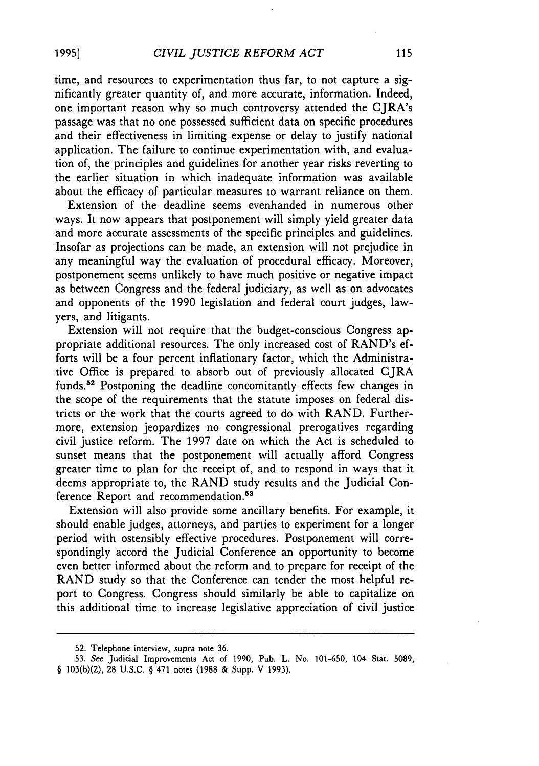time, and resources to experimentation thus far, to not capture a significantly greater quantity of, and more accurate, information. Indeed, one important reason why so much controversy attended the CJRA's passage was that no one possessed sufficient data on specific procedures and their effectiveness in limiting expense or delay to justify national application. The failure to continue experimentation with, and evaluation of, the principles and guidelines for another year risks reverting to the earlier situation in which inadequate information was available about the efficacy of particular measures to warrant reliance on them.

Extension of the deadline seems evenhanded in numerous other ways. It now appears that postponement will simply yield greater data and more accurate assessments of the specific principles and guidelines. Insofar as projections can be made, an extension will not prejudice in any meaningful way the evaluation of procedural efficacy. Moreover, postponement seems unlikely to have much positive or negative impact as between Congress and the federal judiciary, as well as on advocates and opponents of the 1990 legislation and federal court judges, lawyers, and litigants.

Extension will not require that the budget-conscious Congress appropriate additional resources. The only increased cost of RAND's efforts will be a four percent inflationary factor, which the Administrative Office is prepared to absorb out of previously allocated CJRA funds.<sup>52</sup> Postponing the deadline concomitantly effects few changes in the scope of the requirements that the statute imposes on federal districts or the work that the courts agreed to do with RAND. Furthermore, extension jeopardizes no congressional prerogatives regarding civil justice reform. The 1997 date on which the Act is scheduled to sunset means that the postponement will actually afford Congress greater time to plan for the receipt of, and to respond in ways that it deems appropriate to, the RAND study results and the Judicial Conference Report and recommendation.<sup>53</sup>

Extension will also provide some ancillary benefits. For example, it should enable judges, attorneys, and parties to experiment for a longer period with ostensibly effective procedures. Postponement will correspondingly accord the Judicial Conference an opportunity to become even better informed about the reform and to prepare for receipt of the RAND study so that the Conference can tender the most helpful report to Congress. Congress should similarly be able to capitalize on this additional time to increase legislative appreciation of civil justice

<sup>52.</sup> Telephone interview, *supra* note 36.

<sup>53.</sup> *See* Judicial Improvements Act of 1990, Pub. L. No. 101-650, 104 Stat. 5089, § 103(b)(2), 28 U.S.C. § 471 notes (1988 & Supp. V 1993).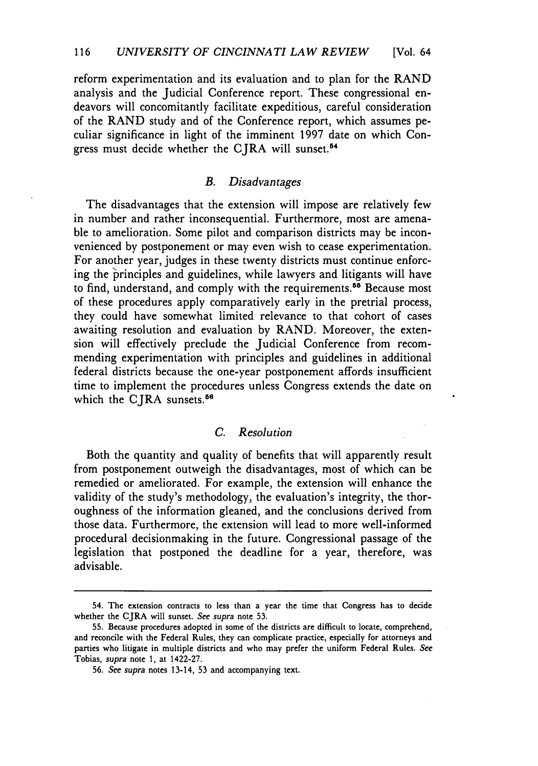reform experimentation and its evaluation and to plan for the RAND analysis and the Judicial Conference report. These congressional endeavors will concomitantly facilitate expeditious, careful consideration of the RAND study and of the Conference report, which assumes peculiar significance in light of the imminent 1997 date on which Congress must decide whether the CJRA will sunset.<sup>54</sup>

# *B. Disadvantages*

The disadvantages that the extension will impose are relatively few in number and rather inconsequential. Furthermore, most are amenable to amelioration. Some pilot and comparison districts may be inconvenienced by postponement or may even wish to cease experimentation. For another year, judges in these twenty districts must continue enforcing the principles and guidelines, while lawyers and litigants will have to find, understand, and comply with the requirements.<sup>55</sup> Because most of these procedures apply comparatively early in the pretrial process, they could have somewhat limited relevance to that cohort of cases awaiting resolution and evaluation by RAND. Moreover, the extension will effectively preclude the Judicial Conference from recommending experimentation with principles and guidelines in additional federal districts because the one-year postponement affords insufficient time to implement the procedures unless Congress extends the date on which the CJRA sunsets.<sup>56</sup>

#### *C. Resolution*

Both the quantity and quality of benefits that will apparently result from postponement outweigh the disadvantages, most of which can be remedied or ameliorated. For example, the extension will enhance the validity of the study's methodology, the evaluation's integrity, the thoroughness of the information gleaned, and the conclusions derived from those data. Furthermore, the extension will lead to more well-informed procedural decisionmaking in the future. Congressional passage of the legislation that postponed the deadline for a year, therefore, was advisable.

<sup>54.</sup> The extension contracts to less than a year the time that Congress has to decide whether the CJRA will sunset. *See supra* note 53.

<sup>55.</sup> Because procedures adopted in some of the districts are difficult to locate, comprehend, and reconcile with the Federal Rules, they can complicate practice, especially for attorneys and parties who litigate in multiple districts and who may prefer the uniform Federal Rules. *See*  Tobias, *supra* note 1, at 1422-27.

<sup>56.</sup> *See supra* notes 13-14, 53 and accompanying text.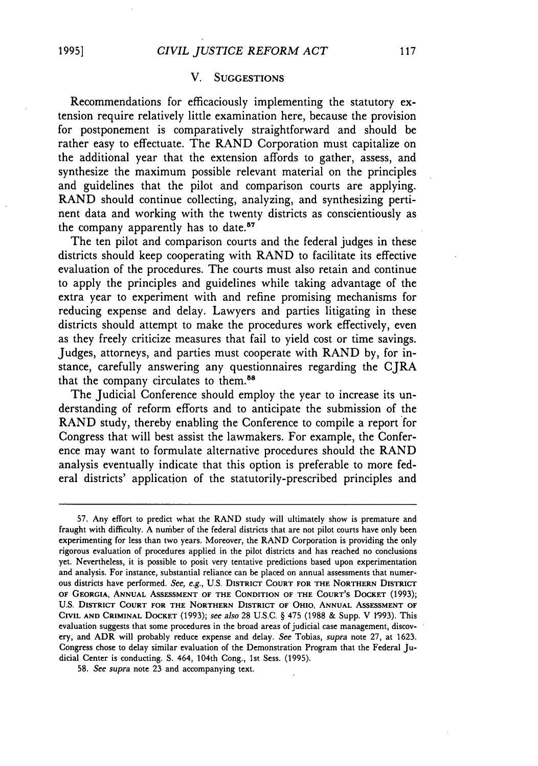#### V. SUGGESTIONS

Recommendations for efficaciously implementing the statutory extension require relatively little examination here, because the provision for postponement is comparatively straightforward and should be rather easy to effectuate. The RAND Corporation must capitalize on the additional year that the extension affords to gather, assess, and synthesize the maximum possible relevant material on the principles and guidelines that the pilot and comparison courts are applying. RAND should continue collecting, analyzing, and synthesizing pertinent data and working with the twenty districts as conscientiously as the company apparently has to date.<sup>57</sup>

The ten pilot and comparison courts and the federal judges in these districts should keep cooperating with RAND to facilitate its effective evaluation of the procedures. The courts must also retain and continue to apply the principles and guidelines while taking advantage of the extra year to experiment with and refine promising mechanisms for reducing expense and delay. Lawyers and parties litigating in these districts should attempt to make the procedures work effectively, even as they freely criticize measures that fail to yield cost or time savings. Judges, attorneys, and parties must cooperate with RAND by, for instance, carefully answering any questionnaires regarding the CJRA that the company circulates to them.<sup>58</sup>

The Judicial Conference should employ the year to increase its understanding of reform efforts and to anticipate the submission of the RAND study, thereby enabling the Conference to compile a report for Congress that will best assist the lawmakers. For example, the Conference may want to formulate alternative procedures should the RAND analysis eventually indicate that this option is preferable to more federal districts' application of the statutorily-prescribed principles and

<sup>57.</sup> Any effort to predict what the RAND study will ultimately show is premature and fraught with difficulty. A number of the federal districts that are not pilot courts have only been experimenting for less than two years. Moreover, the RAND Corporation is providing the only rigorous evaluation of procedures applied in the pilot districts and has reached no conclusions yet. Nevertheless, it is possible to posit very tentative predictions based upon experimentation and analysis. For instance, substantial reliance can be placed on annual assessments that numerous districts have performed. *See, e.g.,* U.S. DISTRICT COURT FOR THE NORTHERN DISTRICT OF GEORGIA, ANNUAL AsSESSMENT OF THE CONDITION OF THE COURT'S DOCKET (1993); U.S. DISTRICT COURT FOR THE NORTHERN DISTRICT OF OHIO, ANNUAL ASSESSMENT OF CIVIL AND CRIMINAL DoCKET (1993); *see also* 28 U.S.C. § 475 (1988 & Supp. V 1'993). This evaluation suggests that some procedures in the broad areas of judicial case management, discovery, and ADR will probably reduce expense and delay. *See* Tobias, *supra* note 27, at 1623. Congress chose to delay similar evaluation of the Demonstration Program that the Federal Judicial Center is conducting. S. 464, 104th Cong., 1st Sess. (1995).

<sup>58.</sup> *See supra* note 23 and accompanying text.